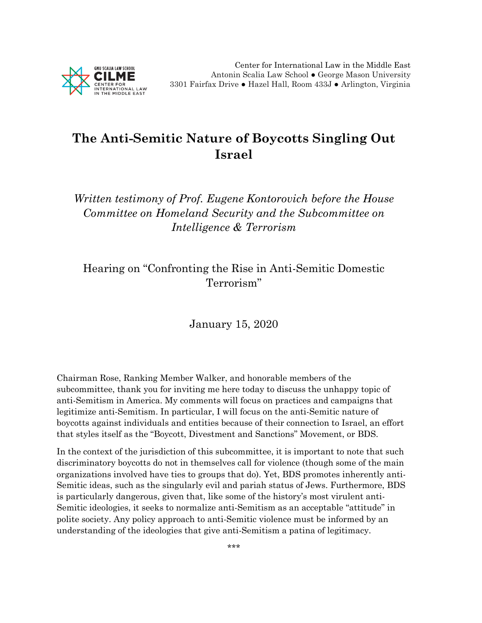

## **The Anti-Semitic Nature of Boycotts Singling Out Israel**

*Written testimony of Prof. Eugene Kontorovich before the House Committee on Homeland Security and the Subcommittee on Intelligence & Terrorism* 

Hearing on "Confronting the Rise in Anti-Semitic Domestic Terrorism"

January 15, 2020

Chairman Rose, Ranking Member Walker, and honorable members of the subcommittee, thank you for inviting me here today to discuss the unhappy topic of anti-Semitism in America. My comments will focus on practices and campaigns that legitimize anti-Semitism. In particular, I will focus on the anti-Semitic nature of boycotts against individuals and entities because of their connection to Israel, an effort that styles itself as the "Boycott, Divestment and Sanctions" Movement, or BDS.

In the context of the jurisdiction of this subcommittee, it is important to note that such discriminatory boycotts do not in themselves call for violence (though some of the main organizations involved have ties to groups that do). Yet, BDS promotes inherently anti-Semitic ideas, such as the singularly evil and pariah status of Jews. Furthermore, BDS is particularly dangerous, given that, like some of the history's most virulent anti-Semitic ideologies, it seeks to normalize anti-Semitism as an acceptable "attitude" in polite society. Any policy approach to anti-Semitic violence must be informed by an understanding of the ideologies that give anti-Semitism a patina of legitimacy.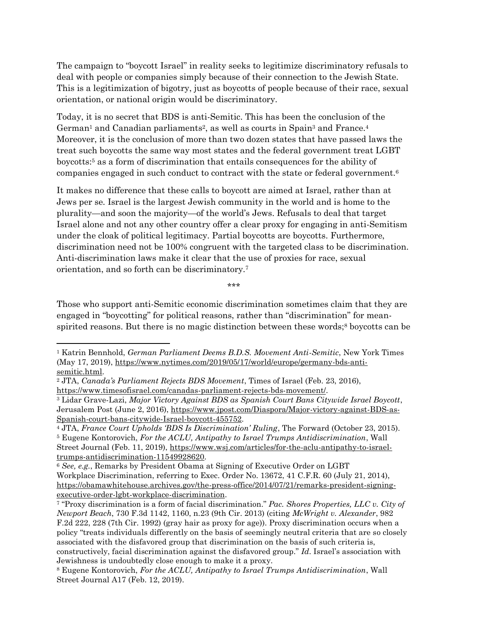The campaign to "boycott Israel" in reality seeks to legitimize discriminatory refusals to deal with people or companies simply because of their connection to the Jewish State. This is a legitimization of bigotry, just as boycotts of people because of their race, sexual orientation, or national origin would be discriminatory.

Today, it is no secret that BDS is anti-Semitic. This has been the conclusion of the German<sup>1</sup> and Canadian parliaments<sup>2</sup>, as well as courts in Spain<sup>3</sup> and France.<sup>4</sup> Moreover, it is the conclusion of more than two dozen states that have passed laws the treat such boycotts the same way most states and the federal government treat LGBT boycotts:<sup>5</sup> as a form of discrimination that entails consequences for the ability of companies engaged in such conduct to contract with the state or federal government.<sup>6</sup>

It makes no difference that these calls to boycott are aimed at Israel, rather than at Jews per se. Israel is the largest Jewish community in the world and is home to the plurality—and soon the majority—of the world's Jews. Refusals to deal that target Israel alone and not any other country offer a clear proxy for engaging in anti-Semitism under the cloak of political legitimacy. Partial boycotts are boycotts. Furthermore, discrimination need not be 100% congruent with the targeted class to be discrimination. Anti-discrimination laws make it clear that the use of proxies for race, sexual orientation, and so forth can be discriminatory.<sup>7</sup>

\*\*\*

Those who support anti-Semitic economic discrimination sometimes claim that they are engaged in "boycotting" for political reasons, rather than "discrimination" for meanspirited reasons. But there is no magic distinction between these words;<sup>8</sup> boycotts can be

 $\overline{a}$ 

<sup>1</sup> Katrin Bennhold, *German Parliament Deems B.D.S. Movement Anti-Semitic*, New York Times (May 17, 2019), [https://www.nytimes.com/2019/05/17/world/europe/germany-bds-anti](https://www.nytimes.com/2019/05/17/world/europe/germany-bds-anti-semitic.html)[semitic.html.](https://www.nytimes.com/2019/05/17/world/europe/germany-bds-anti-semitic.html)

<sup>2</sup> JTA, *Canada's Parliament Rejects BDS Movement*, Times of Israel (Feb. 23, 2016), [https://www.timesofisrael.com/canadas-parliament-rejects-bds-movement/.](https://www.timesofisrael.com/canadas-parliament-rejects-bds-movement/)

<sup>3</sup> Lidar Grave-Lazi, *Major Victory Against BDS as Spanish Court Bans Citywide Israel Boycott*, Jerusalem Post (June 2, 2016), [https://www.jpost.com/Diaspora/Major-victory-against-BDS-as-](https://www.jpost.com/Diaspora/Major-victory-against-BDS-as-Spanish-court-bans-citywide-Israel-boycott-455752)[Spanish-court-bans-citywide-Israel-boycott-455752.](https://www.jpost.com/Diaspora/Major-victory-against-BDS-as-Spanish-court-bans-citywide-Israel-boycott-455752)

<sup>4</sup> JTA, *France Court Upholds 'BDS Is Discrimination' Ruling*, The Forward (October 23, 2015). <sup>5</sup> Eugene Kontorovich, *For the ACLU, Antipathy to Israel Trumps Antidiscrimination*, Wall Street Journal (Feb. 11, 2019), [https://www.wsj.com/articles/for-the-aclu-antipathy-to-israel](https://www.wsj.com/articles/for-the-aclu-antipathy-to-israel-trumps-antidiscrimination-11549928620)[trumps-antidiscrimination-11549928620.](https://www.wsj.com/articles/for-the-aclu-antipathy-to-israel-trumps-antidiscrimination-11549928620)

<sup>6</sup> *See, e.g.*, Remarks by President Obama at Signing of Executive Order on LGBT Workplace Discrimination, referring to Exec. Order No. 13672, 41 C.F.R. 60 (July 21, 2014), [https://obamawhitehouse.archives.gov/the-press-office/2014/07/21/remarks-president-signing](https://obamawhitehouse.archives.gov/the-press-office/2014/07/21/remarks-president-signing-executive-order-lgbt-workplace-discrimination)[executive-order-lgbt-workplace-discrimination.](https://obamawhitehouse.archives.gov/the-press-office/2014/07/21/remarks-president-signing-executive-order-lgbt-workplace-discrimination)

<sup>7</sup> "Proxy discrimination is a form of facial discrimination." *Pac. Shores Properties, LLC v. City of Newport Beach*, 730 F.3d 1142, 1160, n.23 (9th Cir. 2013) (citing *McWright v. Alexander*, 982 F.2d 222, 228 (7th Cir. 1992) (gray hair as proxy for age)). Proxy discrimination occurs when a policy "treats individuals differently on the basis of seemingly neutral criteria that are so closely associated with the disfavored group that discrimination on the basis of such criteria is, constructively, facial discrimination against the disfavored group." *Id*. Israel's association with Jewishness is undoubtedly close enough to make it a proxy.

<sup>8</sup> Eugene Kontorovich, *For the ACLU, Antipathy to Israel Trumps Antidiscrimination*, Wall Street Journal A17 (Feb. 12, 2019).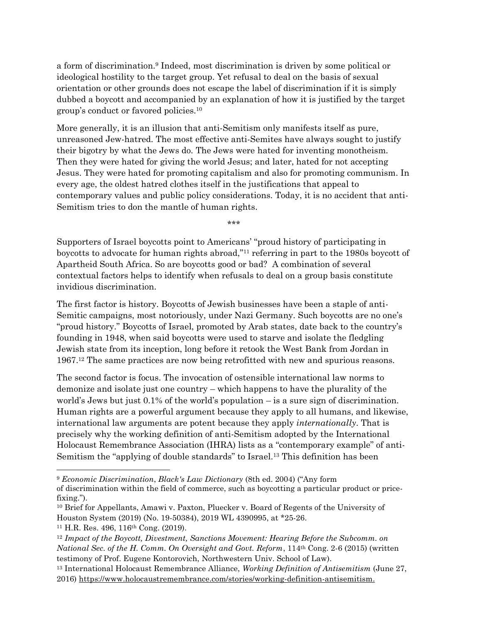a form of discrimination.<sup>9</sup> Indeed, most discrimination is driven by some political or ideological hostility to the target group. Yet refusal to deal on the basis of sexual orientation or other grounds does not escape the label of discrimination if it is simply dubbed a boycott and accompanied by an explanation of how it is justified by the target group's conduct or favored policies.<sup>10</sup>

More generally, it is an illusion that anti-Semitism only manifests itself as pure, unreasoned Jew-hatred. The most effective anti-Semites have always sought to justify their bigotry by what the Jews do. The Jews were hated for inventing monotheism. Then they were hated for giving the world Jesus; and later, hated for not accepting Jesus. They were hated for promoting capitalism and also for promoting communism. In every age, the oldest hatred clothes itself in the justifications that appeal to contemporary values and public policy considerations. Today, it is no accident that anti-Semitism tries to don the mantle of human rights.

\*\*\*

Supporters of Israel boycotts point to Americans' "proud history of participating in boycotts to advocate for human rights abroad,"<sup>11</sup> referring in part to the 1980s boycott of Apartheid South Africa. So are boycotts good or bad? A combination of several contextual factors helps to identify when refusals to deal on a group basis constitute invidious discrimination.

The first factor is history. Boycotts of Jewish businesses have been a staple of anti-Semitic campaigns, most notoriously, under Nazi Germany. Such boycotts are no one's "proud history." Boycotts of Israel, promoted by Arab states, date back to the country's founding in 1948, when said boycotts were used to starve and isolate the fledgling Jewish state from its inception, long before it retook the West Bank from Jordan in 1967.<sup>12</sup> The same practices are now being retrofitted with new and spurious reasons.

The second factor is focus. The invocation of ostensible international law norms to demonize and isolate just one country – which happens to have the plurality of the world's Jews but just 0.1% of the world's population – is a sure sign of discrimination. Human rights are a powerful argument because they apply to all humans, and likewise, international law arguments are potent because they apply *internationally*. That is precisely why the working definition of anti-Semitism adopted by the International Holocaust Remembrance Association (IHRA) lists as a "contemporary example" of anti-Semitism the "applying of double standards" to Israel.<sup>13</sup> This definition has been

 $\overline{\phantom{a}}$ 

<sup>9</sup> *Economic Discrimination*, *Black's Law Dictionary* (8th ed. 2004) ("Any form of discrimination within the field of commerce, such as boycotting a particular product or pricefixing.").

<sup>10</sup> Brief for Appellants, Amawi v. Paxton, Pluecker v. Board of Regents of the University of Houston System (2019) (No. 19-50384), 2019 WL 4390995, at \*25-26.

<sup>11</sup> H.R. Res. 496, 116th Cong. (2019).

<sup>&</sup>lt;sup>12</sup> Impact of the Boycott, Divestment, Sanctions Movement: Hearing Before the Subcomm. on *National Sec. of the H. Comm. On Oversight and Govt. Reform*, 114th Cong. 2-6 (2015) (written testimony of Prof. Eugene Kontorovich, Northwestern Univ. School of Law).

<sup>13</sup> International Holocaust Remembrance Alliance, *Working Definition of Antisemitism* (June 27, 2016) [https://www.holocaustremembrance.com/stories/working-definition-antisemitism.](https://www.holocaustremembrance.com/stories/working-definition-antisemitism)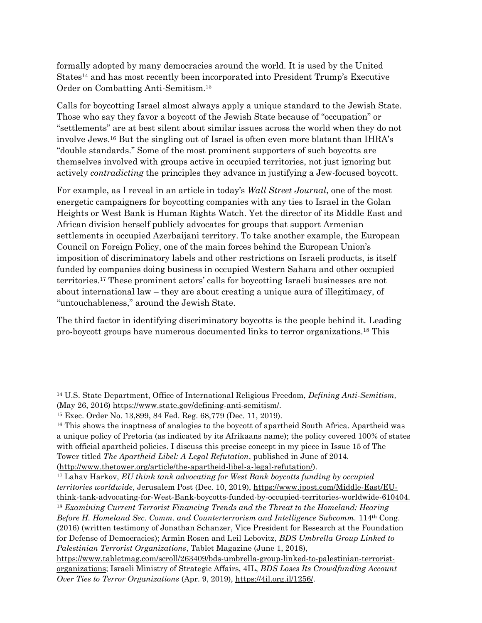formally adopted by many democracies around the world. It is used by the United States<sup>14</sup> and has most recently been incorporated into President Trump's Executive Order on Combatting Anti-Semitism.<sup>15</sup>

Calls for boycotting Israel almost always apply a unique standard to the Jewish State. Those who say they favor a boycott of the Jewish State because of "occupation" or "settlements" are at best silent about similar issues across the world when they do not involve Jews.<sup>16</sup> But the singling out of Israel is often even more blatant than IHRA's "double standards." Some of the most prominent supporters of such boycotts are themselves involved with groups active in occupied territories, not just ignoring but actively *contradicting* the principles they advance in justifying a Jew-focused boycott.

For example, as I reveal in an article in today's *Wall Street Journal*, one of the most energetic campaigners for boycotting companies with any ties to Israel in the Golan Heights or West Bank is Human Rights Watch. Yet the director of its Middle East and African division herself publicly advocates for groups that support Armenian settlements in occupied Azerbaijani territory. To take another example, the European Council on Foreign Policy, one of the main forces behind the European Union's imposition of discriminatory labels and other restrictions on Israeli products, is itself funded by companies doing business in occupied Western Sahara and other occupied territories.<sup>17</sup> These prominent actors' calls for boycotting Israeli businesses are not about international law – they are about creating a unique aura of illegitimacy, of "untouchableness," around the Jewish State.

The third factor in identifying discriminatory boycotts is the people behind it. Leading pro-boycott groups have numerous documented links to terror organizations.<sup>18</sup> This

 $\overline{a}$ 

<sup>14</sup> U.S. State Department, Office of International Religious Freedom, *Defining Anti-Semitism,*  (May 26, 2016) [https://www.state.gov/defining-anti-semitism/.](https://www.state.gov/defining-anti-semitism/)

<sup>15</sup> Exec. Order No. 13,899, 84 Fed. Reg. 68,779 (Dec. 11, 2019).

<sup>&</sup>lt;sup>16</sup> This shows the inaptness of analogies to the boycott of apartheid South Africa. Apartheid was a unique policy of Pretoria (as indicated by its Afrikaans name); the policy covered 100% of states with official apartheid policies. I discuss this precise concept in my piece in Issue 15 of The Tower titled *The Apartheid Libel: A Legal Refutation*, published in June of 2014.

[<sup>\(</sup>http://www.thetower.org/article/the-apartheid-libel-a-legal-refutation/\)](http://www.thetower.org/article/the-apartheid-libel-a-legal-refutation/).

<sup>17</sup> Lahav Harkov, *EU think tank advocating for West Bank boycotts funding by occupied territories worldwide*, Jerusalem Post (Dec. 10, 2019), [https://www.jpost.com/Middle-East/EU](https://www.jpost.com/Middle-East/EU-think-tank-advocating-for-West-Bank-boycotts-funded-by-occupied-territories-worldwide-610404)[think-tank-advocating-for-West-Bank-boycotts-funded-by-occupied-territories-worldwide-610404.](https://www.jpost.com/Middle-East/EU-think-tank-advocating-for-West-Bank-boycotts-funded-by-occupied-territories-worldwide-610404)

<sup>18</sup> *Examining Current Terrorist Financing Trends and the Threat to the Homeland: Hearing Before H. Homeland Sec. Comm. and Counterterrorism and Intelligence Subcomm.* 114<sup>th</sup> Cong. (2016) (written testimony of Jonathan Schanzer, Vice President for Research at the Foundation for Defense of Democracies); Armin Rosen and Leil Lebovitz, *BDS Umbrella Group Linked to Palestinian Terrorist Organizations*, Tablet Magazine (June 1, 2018),

[https://www.tabletmag.com/scroll/263409/bds-umbrella-group-linked-to-palestinian-terrorist](https://www.tabletmag.com/scroll/263409/bds-umbrella-group-linked-to-palestinian-terrorist-organizations)[organizations;](https://www.tabletmag.com/scroll/263409/bds-umbrella-group-linked-to-palestinian-terrorist-organizations) Israeli Ministry of Strategic Affairs, 4IL, *BDS Loses Its Crowdfunding Account Over Ties to Terror Organizations* (Apr. 9, 2019), [https://4il.org.il/1256/.](https://4il.org.il/1256/)